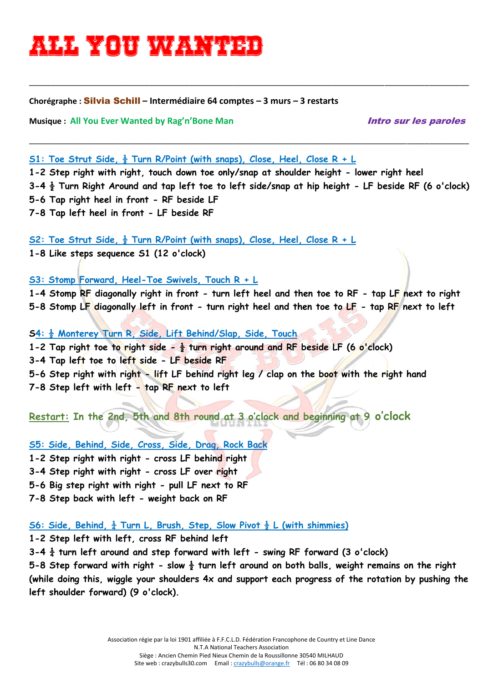# **All you wanted**

#### **Chorégraphe :** Silvia Schill **– Intermédiaire 64 comptes – 3 murs – 3 restarts**

**Musique :** All You Ever Wanted by Rag'n'Bone Man *intro sur les paroles* 

#### **S1: Toe Strut Side, ½ Turn R/Point (with snaps), Close, Heel, Close R + L**

**1-2 Step right with right, touch down toe only/snap at shoulder height - lower right heel 3-4 ½ Turn Right Around and tap left toe to left side/snap at hip height - LF beside RF (6 o'clock) 5-6 Tap right heel in front - RF beside LF 7-8 Tap left heel in front - LF beside RF** 

\_\_\_\_\_\_\_\_\_\_\_\_\_\_\_\_\_\_\_\_\_\_\_\_\_\_\_\_\_\_\_\_\_\_\_\_\_\_\_\_\_\_\_\_\_\_\_\_\_\_\_\_\_\_\_\_\_\_\_\_\_\_\_\_\_\_\_\_\_\_\_\_\_\_\_\_\_\_\_\_\_\_\_\_\_\_\_\_\_\_\_\_\_\_\_\_\_\_\_

\_\_\_\_\_\_\_\_\_\_\_\_\_\_\_\_\_\_\_\_\_\_\_\_\_\_\_\_\_\_\_\_\_\_\_\_\_\_\_\_\_\_\_\_\_\_\_\_\_\_\_\_\_\_\_\_\_\_\_\_\_\_\_\_\_\_\_\_\_\_\_\_\_\_\_\_\_\_\_\_\_\_\_\_\_\_\_\_\_\_\_\_\_\_\_\_\_\_\_

**S2: Toe Strut Side, ½ Turn R/Point (with snaps), Close, Heel, Close R + L**

**1-8 Like steps sequence S1 (12 o'clock)** 

**S3: Stomp Forward, Heel-Toe Swivels, Touch R + L**

**1-4 Stomp RF diagonally right in front - turn left heel and then toe to RF - tap LF next to right 5-8 Stomp LF diagonally left in front - turn right heel and then toe to LF - tap RF next to left** 

**S4: ½ Monterey Turn R, Side, Lift Behind/Slap, Side, Touch 1-2 Tap right toe to right side - ½ turn right around and RF beside LF (6 o'clock) 3-4 Tap left toe to left side - LF beside RF 5-6 Step right with right - lift LF behind right leg / clap on the boot with the right hand 7-8 Step left with left - tap RF next to left** 

**Restart: In the 2nd, 5th and 8th round at 3 o'clock and beginning at 9 o'clock**

**S5: Side, Behind, Side, Cross, Side, Drag, Rock Back 1-2 Step right with right - cross LF behind right 3-4 Step right with right - cross LF over right 5-6 Big step right with right - pull LF next to RF 7-8 Step back with left - weight back on RF** 

### **S6: Side, Behind, ¼ Turn L, Brush, Step, Slow Pivot ½ L (with shimmies)**

**1-2 Step left with left, cross RF behind left** 

**3-4 ¼ turn left around and step forward with left - swing RF forward (3 o'clock)** 

**5-8 Step forward with right - slow ½ turn left around on both balls, weight remains on the right (while doing this, wiggle your shoulders 4x and support each progress of the rotation by pushing the left shoulder forward) (9 o'clock).**